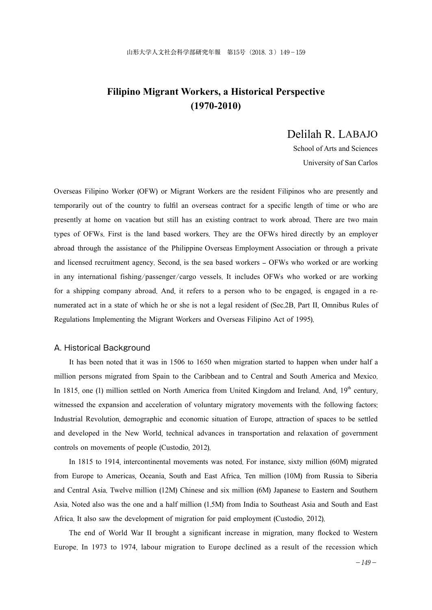# **Filipino Migrant Workers, a Historical Perspective (1970-2010)**

# Delilah R. LABAJO

School of Arts and Sciences University of San Carlos

Overseas Filipino Worker (OFW) or Migrant Workers are the resident Filipinos who are presently and temporarily out of the country to fulfil an overseas contract for a specific length of time or who are presently at home on vacation but still has an existing contract to work abroad. There are two main types of OFWs. First is the land based workers. They are the OFWs hired directly by an employer abroad through the assistance of the Philippine Overseas Employment Association or through a private and licensed recruitment agency. Second, is the sea based workers – OFWs who worked or are working in any international fishing/passenger/cargo vessels. It includes OFWs who worked or are working for a shipping company abroad. And, it refers to a person who to be engaged, is engaged in a renumerated act in a state of which he or she is not a legal resident of (Sec.2B, Part II, Omnibus Rules of Regulations Implementing the Migrant Workers and Overseas Filipino Act of 1995).

## A. Historical Background

It has been noted that it was in 1506 to 1650 when migration started to happen when under half a million persons migrated from Spain to the Caribbean and to Central and South America and Mexico. In 1815, one (1) million settled on North America from United Kingdom and Ireland. And,  $19<sup>th</sup>$  century, witnessed the expansion and acceleration of voluntary migratory movements with the following factors: Industrial Revolution, demographic and economic situation of Europe, attraction of spaces to be settled and developed in the New World, technical advances in transportation and relaxation of government controls on movements of people (Custodio, 2012).

In 1815 to 1914, intercontinental movements was noted. For instance, sixty million (60M) migrated from Europe to Americas, Oceania, South and East Africa. Ten million (10M) from Russia to Siberia and Central Asia. Twelve million (12M) Chinese and six million (6M) Japanese to Eastern and Southern Asia. Noted also was the one and a half million (1.5M) from India to Southeast Asia and South and East Africa. It also saw the development of migration for paid employment (Custodio, 2012).

The end of World War II brought a significant increase in migration, many flocked to Western Europe. In 1973 to 1974, labour migration to Europe declined as a result of the recession which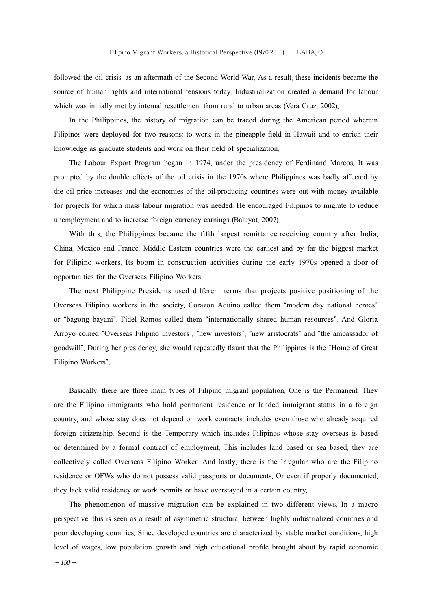followed the oil crisis, as an aftermath of the Second World War. As a result, these incidents became the source of human rights and international tensions today. Industrialization created a demand for labour which was initially met by internal resettlement from rural to urban areas (Vera Cruz, 2002).

In the Philippines, the history of migration can be traced during the American period wherein Filipinos were deployed for two reasons: to work in the pineapple field in Hawaii and to enrich their knowledge as graduate students and work on their field of specialization.

The Labour Export Program began in 1974, under the presidency of Ferdinand Marcos. It was prompted by the double effects of the oil crisis in the 1970s where Philippines was badly affected by the oil price increases and the economies of the oil-producing countries were out with money available for projects for which mass labour migration was needed. He encouraged Filipinos to migrate to reduce unemployment and to increase foreign currency earnings (Baluyot, 2007).

With this, the Philippines became the fifth largest remittance-receiving country after India, China, Mexico and France. Middle Eastern countries were the earliest and by far the biggest market for Filipino workers. Its boom in construction activities during the early 1970s opened a door of opportunities for the Overseas Filipino Workers.

The next Philippine Presidents used different terms that projects positive positioning of the Overseas Filipino workers in the society. Corazon Aquino called them "modern day national heroes" or "bagong bayani". Fidel Ramos called them "internationally shared human resources". And Gloria Arroyo coined "Overseas Filipino investors", "new investors", "new aristocrats" and "the ambassador of goodwill". During her presidency, she would repeatedly flaunt that the Philippines is the "Home of Great Filipino Workers".

Basically, there are three main types of Filipino migrant population. One is the Permanent. They are the Filipino immigrants who hold permanent residence or landed immigrant status in a foreign country, and whose stay does not depend on work contracts, includes even those who already acquired foreign citizenship. Second is the Temporary which includes Filipinos whose stay overseas is based or determined by a formal contract of employment. This includes land based or sea based, they are collectively called Overseas Filipino Worker. And lastly, there is the Irregular who are the Filipino residence or OFWs who do not possess valid passports or documents. Or even if properly documented, they lack valid residency or work permits or have overstayed in a certain country.

The phenomenon of massive migration can be explained in two different views. In a macro perspective, this is seen as a result of asymmetric structural between highly industrialized countries and poor developing countries. Since developed countries are characterized by stable market conditions, high level of wages, low population growth and high educational profile brought about by rapid economic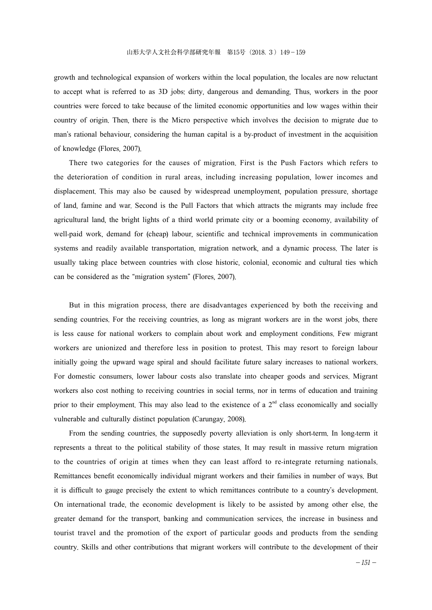growth and technological expansion of workers within the local population, the locales are now reluctant to accept what is referred to as 3D jobs: dirty, dangerous and demanding. Thus, workers in the poor countries were forced to take because of the limited economic opportunities and low wages within their country of origin. Then, there is the Micro perspective which involves the decision to migrate due to man's rational behaviour, considering the human capital is a by-product of investment in the acquisition of knowledge (Flores, 2007).

There two categories for the causes of migration. First is the Push Factors which refers to the deterioration of condition in rural areas, including increasing population, lower incomes and displacement. This may also be caused by widespread unemployment, population pressure, shortage of land, famine and war. Second is the Pull Factors that which attracts the migrants may include free agricultural land, the bright lights of a third world primate city or a booming economy, availability of well-paid work, demand for (cheap) labour, scientific and technical improvements in communication systems and readily available transportation, migration network, and a dynamic process. The later is usually taking place between countries with close historic, colonial, economic and cultural ties which can be considered as the "migration system" (Flores, 2007).

But in this migration process, there are disadvantages experienced by both the receiving and sending countries. For the receiving countries, as long as migrant workers are in the worst jobs, there is less cause for national workers to complain about work and employment conditions. Few migrant workers are unionized and therefore less in position to protest. This may resort to foreign labour initially going the upward wage spiral and should facilitate future salary increases to national workers. For domestic consumers, lower labour costs also translate into cheaper goods and services. Migrant workers also cost nothing to receiving countries in social terms, nor in terms of education and training prior to their employment. This may also lead to the existence of a  $2<sup>nd</sup>$  class economically and socially vulnerable and culturally distinct population (Carungay, 2008).

From the sending countries, the supposedly poverty alleviation is only short-term. In long-term it represents a threat to the political stability of those states. It may result in massive return migration to the countries of origin at times when they can least afford to re-integrate returning nationals. Remittances benefit economically individual migrant workers and their families in number of ways. But it is difficult to gauge precisely the extent to which remittances contribute to a country's development. On international trade, the economic development is likely to be assisted by among other else, the greater demand for the transport, banking and communication services, the increase in business and tourist travel and the promotion of the export of particular goods and products from the sending country. Skills and other contributions that migrant workers will contribute to the development of their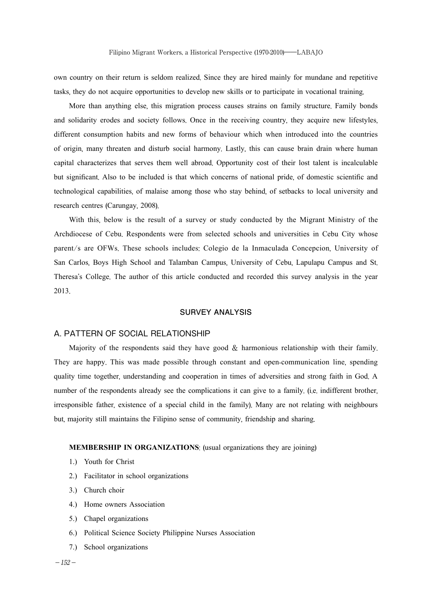own country on their return is seldom realized. Since they are hired mainly for mundane and repetitive tasks, they do not acquire opportunities to develop new skills or to participate in vocational training.

More than anything else, this migration process causes strains on family structure. Family bonds and solidarity erodes and society follows. Once in the receiving country, they acquire new lifestyles, different consumption habits and new forms of behaviour which when introduced into the countries of origin, many threaten and disturb social harmony. Lastly, this can cause brain drain where human capital characterizes that serves them well abroad. Opportunity cost of their lost talent is incalculable but significant. Also to be included is that which concerns of national pride, of domestic scientific and technological capabilities, of malaise among those who stay behind, of setbacks to local university and research centres (Carungay, 2008).

With this, below is the result of a survey or study conducted by the Migrant Ministry of the Archdiocese of Cebu. Respondents were from selected schools and universities in Cebu City whose parent/s are OFWs. These schools includes: Colegio de la Inmaculada Concepcion, University of San Carlos, Boys High School and Talamban Campus, University of Cebu, Lapulapu Campus and St. Theresa's College. The author of this article conducted and recorded this survey analysis in the year 2013.

## **SURVEY ANALYSIS**

## A. PATTERN OF SOCIAL RELATIONSHIP

Majority of the respondents said they have good  $\&$  harmonious relationship with their family. They are happy. This was made possible through constant and open-communication line, spending quality time together, understanding and cooperation in times of adversities and strong faith in God. A number of the respondents already see the complications it can give to a family. (i.e. indifferent brother, irresponsible father, existence of a special child in the family). Many are not relating with neighbours but, majority still maintains the Filipino sense of community, friendship and sharing.

### **MEMBERSHIP IN ORGANIZATIONS**: (usual organizations they are joining)

- 1.) Youth for Christ
- 2.) Facilitator in school organizations
- 3.) Church choir
- 4.) Home owners Association
- 5.) Chapel organizations
- 6.) Political Science Society Philippine Nurses Association
- 7.) School organizations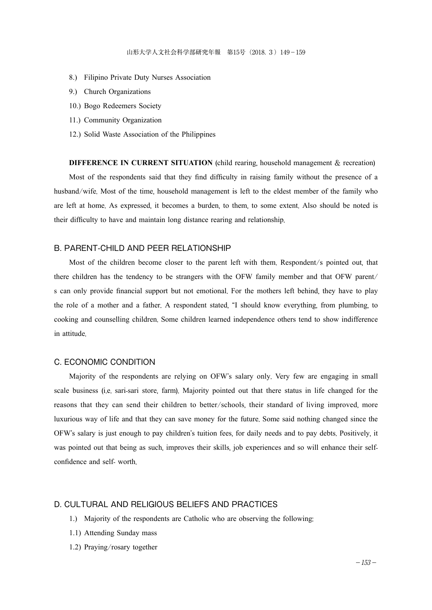- 8.) Filipino Private Duty Nurses Association
- 9.) Church Organizations
- 10.) Bogo Redeemers Society
- 11.) Community Organization
- 12.) Solid Waste Association of the Philippines

**DIFFERENCE IN CURRENT SITUATION** (child rearing, household management & recreation) Most of the respondents said that they find difficulty in raising family without the presence of a husband/wife. Most of the time, household management is left to the eldest member of the family who are left at home. As expressed, it becomes a burden, to them, to some extent. Also should be noted is their difficulty to have and maintain long distance rearing and relationship.

## B. PARENT-CHILD AND PEER RELATIONSHIP

Most of the children become closer to the parent left with them. Respondent/s pointed out, that there children has the tendency to be strangers with the OFW family member and that OFW parent/ s can only provide financial support but not emotional. For the mothers left behind, they have to play the role of a mother and a father. A respondent stated, "I should know everything, from plumbing, to cooking and counselling children. Some children learned independence others tend to show indifference in attitude.

## C. ECONOMIC CONDITION

Majority of the respondents are relying on OFW's salary only. Very few are engaging in small scale business (i.e. sari-sari store, farm). Majority pointed out that there status in life changed for the reasons that they can send their children to better/schools, their standard of living improved, more luxurious way of life and that they can save money for the future. Some said nothing changed since the OFW's salary is just enough to pay children's tuition fees, for daily needs and to pay debts. Positively, it was pointed out that being as such, improves their skills, job experiences and so will enhance their selfconfidence and self- worth.

## D. CULTURAL AND RELIGIOUS BELIEFS AND PRACTICES

- 1.) Majority of the respondents are Catholic who are observing the following:
- 1.1) Attending Sunday mass
- 1.2) Praying/rosary together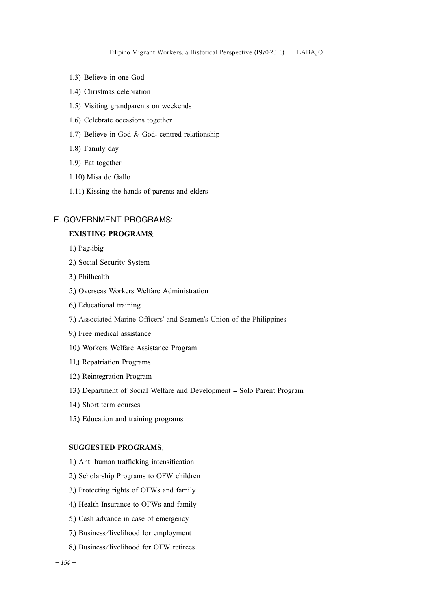- 1.3) Believe in one God
- 1.4) Christmas celebration
- 1.5) Visiting grandparents on weekends
- 1.6) Celebrate occasions together
- 1.7) Believe in God & God- centred relationship
- 1.8) Family day
- 1.9) Eat together
- 1.10) Misa de Gallo
- 1.11) Kissing the hands of parents and elders

## E. GOVERNMENT PROGRAMS:

### **EXISTING PROGRAMS**:

- 1.) Pag-ibig
- 2.) Social Security System
- 3.) Philhealth
- 5.) Overseas Workers Welfare Administration
- 6.) Educational training
- 7.) Associated Marine Officers' and Seamen's Union of the Philippines
- 9.) Free medical assistance
- 10.) Workers Welfare Assistance Program
- 11.) Repatriation Programs
- 12.) Reintegration Program
- 13.) Department of Social Welfare and Development Solo Parent Program
- 14.) Short term courses
- 15.) Education and training programs

### **SUGGESTED PROGRAMS**:

- 1.) Anti human trafficking intensification
- 2.) Scholarship Programs to OFW children
- 3.) Protecting rights of OFWs and family
- 4.) Health Insurance to OFWs and family
- 5.) Cash advance in case of emergency
- 7.) Business/livelihood for employment
- 8.) Business/livelihood for OFW retirees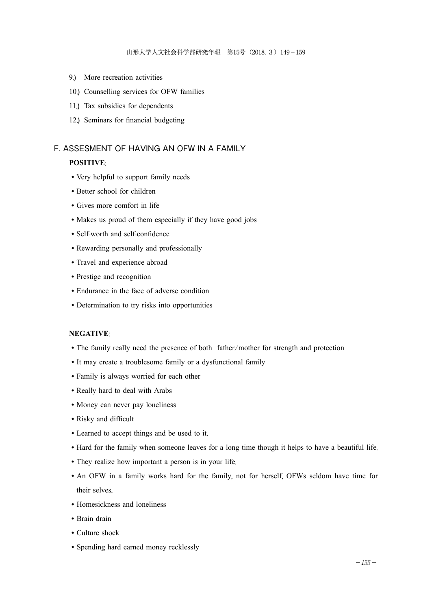- 9.) More recreation activities
- 10.) Counselling services for OFW families
- 11.) Tax subsidies for dependents
- 12.) Seminars for financial budgeting

## F. ASSESMENT OF HAVING AN OFW IN A FAMILY

## **POSITIVE**:

- ◦Very helpful to support family needs
- ◦Better school for children
- ◦Gives more comfort in life
- ◦Makes us proud of them especially if they have good jobs
- ◦Self-worth and self-confidence
- ◦Rewarding personally and professionally
- ◦Travel and experience abroad
- ◦Prestige and recognition
- ◦Endurance in the face of adverse condition
- ◦Determination to try risks into opportunities

## **NEGATIVE**:

- The family really need the presence of both father/mother for strength and protection
- ◦It may create a troublesome family or a dysfunctional family
- ◦Family is always worried for each other
- ◦Really hard to deal with Arabs
- ◦Money can never pay loneliness
- ◦Risky and difficult
- ◦Learned to accept things and be used to it.
- ◦Hard for the family when someone leaves for a long time though it helps to have a beautiful life.
- They realize how important a person is in your life.
- An OFW in a family works hard for the family, not for herself, OFWs seldom have time for their selves.
- ◦Homesickness and loneliness
- ◦Brain drain
- ◦Culture shock
- ◦Spending hard earned money recklessly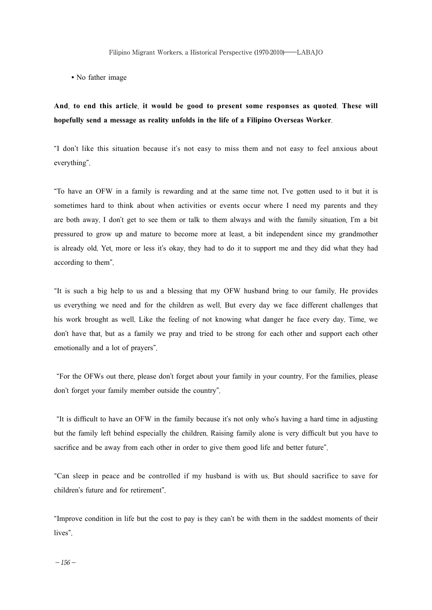• No father image

## **And**, **to end this article**, **it would be good to present some responses as quoted**. **These will hopefully send a message as reality unfolds in the life of a Filipino Overseas Worker**.

"I don't like this situation because it's not easy to miss them and not easy to feel anxious about everything".

"To have an OFW in a family is rewarding and at the same time not. I've gotten used to it but it is sometimes hard to think about when activities or events occur where I need my parents and they are both away. I don't get to see them or talk to them always and with the family situation, I'm a bit pressured to grow up and mature to become more at least, a bit independent since my grandmother is already old. Yet, more or less it's okay, they had to do it to support me and they did what they had according to them".

"It is such a big help to us and a blessing that my OFW husband bring to our family. He provides us everything we need and for the children as well. But every day we face different challenges that his work brought as well. Like the feeling of not knowing what danger he face every day. Time, we don't have that, but as a family we pray and tried to be strong for each other and support each other emotionally and a lot of prayers".

 "For the OFWs out there, please don't forget about your family in your country. For the families, please don't forget your family member outside the country".

 "It is difficult to have an OFW in the family because it's not only who's having a hard time in adjusting but the family left behind especially the children. Raising family alone is very difficult but you have to sacrifice and be away from each other in order to give them good life and better future".

"Can sleep in peace and be controlled if my husband is with us. But should sacrifice to save for children's future and for retirement".

"Improve condition in life but the cost to pay is they can't be with them in the saddest moments of their lives".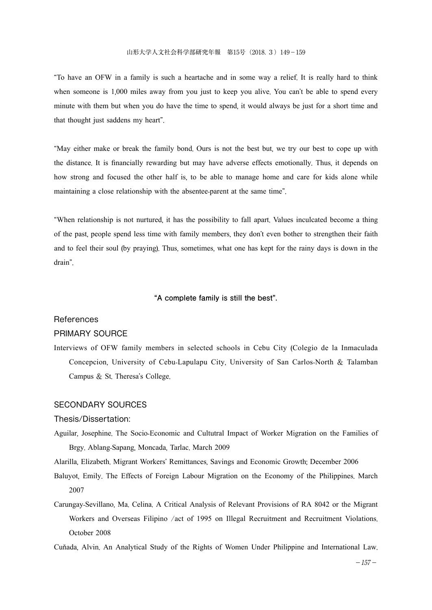"To have an OFW in a family is such a heartache and in some way a relief. It is really hard to think when someone is 1,000 miles away from you just to keep you alive. You can't be able to spend every minute with them but when you do have the time to spend, it would always be just for a short time and that thought just saddens my heart".

"May either make or break the family bond. Ours is not the best but, we try our best to cope up with the distance. It is financially rewarding but may have adverse effects emotionally. Thus, it depends on how strong and focused the other half is, to be able to manage home and care for kids alone while maintaining a close relationship with the absentee-parent at the same time".

"When relationship is not nurtured, it has the possibility to fall apart. Values inculcated become a thing of the past, people spend less time with family members, they don't even bother to strengthen their faith and to feel their soul (by praying). Thus, sometimes, what one has kept for the rainy days is down in the drain".

## **"A complete family is still the best".**

#### **References**

## PRIMARY SOURCE

Interviews of OFW family members in selected schools in Cebu City (Colegio de la Inmaculada Concepcion, University of Cebu-Lapulapu City, University of San Carlos-North & Talamban Campus & St. Theresa's College.

### SECONDARY SOURCES

#### Thesis/Dissertation:

Aguilar, Josephine. The Socio-Economic and Cultutral Impact of Worker Migration on the Families of Brgy. Ablang-Sapang, Moncada, Tarlac. March 2009

Alarilla, Elizabeth. Migrant Workers' Remittances, Savings and Economic Growth; December 2006

- Baluyot, Emily. The Effects of Foreign Labour Migration on the Economy of the Philippines. March 2007
- Carungay-Sevillano, Ma. Celina. A Critical Analysis of Relevant Provisions of RA 8042 or the Migrant Workers and Overseas Filipino /act of 1995 on Illegal Recruitment and Recruitment Violations. October 2008

Cuňada, Alvin. An Analytical Study of the Rights of Women Under Philippine and International Law.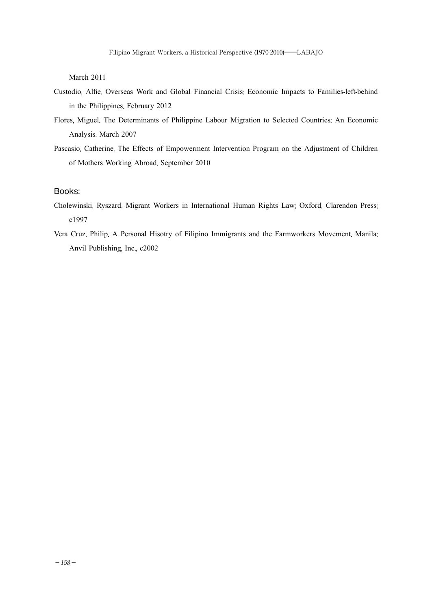March 2011

- Custodio, Alfie. Overseas Work and Global Financial Crisis: Economic Impacts to Families-left-behind in the Philippines. February 2012
- Flores, Miguel. The Determinants of Philippine Labour Migration to Selected Countries: An Economic Analysis. March 2007
- Pascasio, Catherine. The Effects of Empowerment Intervention Program on the Adjustment of Children of Mothers Working Abroad. September 2010

## Books:

- Cholewinski, Ryszard. Migrant Workers in International Human Rights Law; Oxford, Clarendon Press; c1997
- Vera Cruz, Philip. A Personal Hisotry of Filipino Immigrants and the Farmworkers Movement. Manila; Anvil Publishing, Inc., c2002